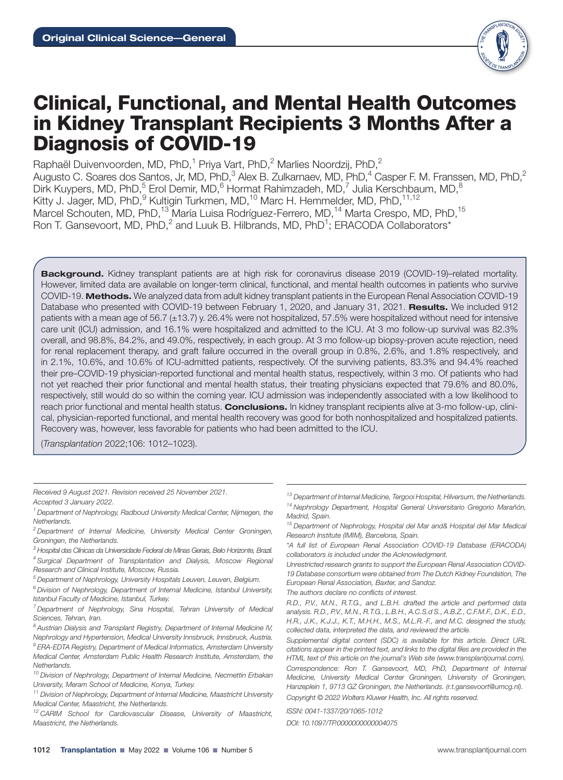

# Clinical, Functional, and Mental Health Outcomes in Kidney Transplant Recipients 3 Months After a Diagnosis of COVID-19

Raphaël Duivenvoorden, MD, PhD,<sup>1</sup> Priya Vart, PhD,<sup>2</sup> Marlies Noordzij, PhD,<sup>2</sup> Augusto C. Soares dos Santos, Jr, MD, PhD, $^3$  Alex B. Zulkarnaev, MD, PhD, $^4$  Casper F. M. Franssen, MD, PhD, $^2$ Dirk Kuypers, MD, PhD,<sup>5</sup> Erol Demir, MD,<sup>6</sup> Hormat Rahimzadeh, MD,<sup>7</sup> Julia Kerschbaum, MD,<sup>8</sup> Kitty J. Jager, MD, PhD, Kultigin Turkmen, MD, <sup>10</sup> Marc H. Hemmelder, MD, PhD, <sup>11, 12</sup> Marcel Schouten, MD, PhD,<sup>13</sup> María Luisa Rodríguez-Ferrero, MD,<sup>14</sup> Marta Crespo, MD, PhD,<sup>15</sup> Ron T. Gansevoort, MD, PhD,<sup>2</sup> and Luuk B. Hilbrands, MD, PhD<sup>1</sup>; ERACODA Collaborators\*

Background. Kidney transplant patients are at high risk for coronavirus disease 2019 (COVID-19)-related mortality. However, limited data are available on longer-term clinical, functional, and mental health outcomes in patients who survive COVID-19. Methods. We analyzed data from adult kidney transplant patients in the European Renal Association COVID-19 Database who presented with COVID-19 between February 1, 2020, and January 31, 2021. Results. We included 912 patients with a mean age of 56.7 (±13.7) y. 26.4% were not hospitalized, 57.5% were hospitalized without need for intensive care unit (ICU) admission, and 16.1% were hospitalized and admitted to the ICU. At 3 mo follow-up survival was 82.3% overall, and 98.8%, 84.2%, and 49.0%, respectively, in each group. At 3 mo follow-up biopsy-proven acute rejection, need for renal replacement therapy, and graft failure occurred in the overall group in 0.8%, 2.6%, and 1.8% respectively, and in 2.1%, 10.6%, and 10.6% of ICU-admitted patients, respectively. Of the surviving patients, 83.3% and 94.4% reached their pre–COVID-19 physician-reported functional and mental health status, respectively, within 3 mo. Of patients who had not yet reached their prior functional and mental health status, their treating physicians expected that 79.6% and 80.0%, respectively, still would do so within the coming year. ICU admission was independently associated with a low likelihood to reach prior functional and mental health status. Conclusions. In kidney transplant recipients alive at 3-mo follow-up, clinical, physician-reported functional, and mental health recovery was good for both nonhospitalized and hospitalized patients. Recovery was, however, less favorable for patients who had been admitted to the ICU.

(*Transplantation* 2022;106: 1012–1023).

*Received 9 August 2021. Revision received 25 November 2021.*

*Accepted 3 January 2022.*

- *<sup>2</sup> Department of Internal Medicine, University Medical Center Groningen, Groningen, the Netherlands.*
- *<sup>3</sup> Hospital das Clínicas da Universidade Federal de Minas Gerais, Belo Horizonte, Brazil. <sup>4</sup> Surgical Department of Transplantation and Dialysis, Moscow Regional Research and Clinical Institute, Moscow, Russia.*
- *<sup>5</sup> Department of Nephrology, University Hospitals Leuven, Leuven, Belgium.*
- *<sup>6</sup> Division of Nephrology, Department of Internal Medicine, Istanbul University, Istanbul Faculty of Medicine, Istanbul, Turkey.*
- *<sup>7</sup> Department of Nephrology, Sina Hospital, Tehran University of Medical Sciences, Tehran, Iran.*
- *<sup>8</sup> Austrian Dialysis and Transplant Registry, Department of Internal Medicine IV, Nephrology and Hypertension, Medical University Innsbruck, Innsbruck, Austria.*
- *<sup>9</sup> ERA-EDTA Registry, Department of Medical Informatics, Amsterdam University Medical Center, Amsterdam Public Health Research Institute, Amsterdam, the Netherlands.*
- *<sup>10</sup> Division of Nephrology, Department of Internal Medicine, Necmettin Erbakan University, Meram School of Medicine, Konya, Turkey.*
- *<sup>11</sup> Division of Nephrology, Department of Internal Medicine, Maastricht University Medical Center, Maastricht, the Netherlands.*

*<sup>12</sup> CARIM School for Cardiovascular Disease, University of Maastricht, Maastricht, the Netherlands.*

*<sup>13</sup> Department of Internal Medicine, Tergooi Hospital, Hilversum, the Netherlands. <sup>14</sup> Nephrology Department, Hospital General Universitario Gregorio Marañón, Madrid, Spain.*

*<sup>15</sup> Department of Nephrology, Hospital del Mar and& Hospital del Mar Medical Research Institute (IMIM), Barcelona, Spain.*

*\*A full list of European Renal Association COVID-19 Database (ERACODA) collaborators is included under the Acknowledgment.*

*Unrestricted research grants to support the European Renal Association COVID-19 Database consortium were obtained from The Dutch Kidney Foundation, The European Renal Association, Baxter, and Sandoz.*

*The authors declare no conflicts of interest.*

*<sup>1</sup> Department of Nephrology, Radboud University Medical Center, Nijmegen, the Netherlands.*

*R.D., P.V., M.N., R.T.G., and L.B.H. drafted the article and performed data analysis. R.D., P.V., M.N., R.T.G., L.B.H., A.C.S.d S., A.B.Z., C.F.M.F., D.K., E.D., H.R., J.K., K.J.J., K.T., M.H.H., M.S., M.L.R.-F., and M.C. designed the study, collected data, interpreted the data, and reviewed the article.*

*Supplemental digital content (SDC) is available for this article. Direct URL citations appear in the printed text, and links to the digital files are provided in the HTML text of this article on the journal's Web site [\(www.transplantjournal.com](https://www.transplantjournal.com)).* Correspondence: Ron T. Gansevoort, MD, PhD, Department of Internal *Medicine, University Medical Center Groningen, University of Groningen, Hanzeplein 1, 9713 GZ Groningen, the Netherlands. [\(r.t.gansevoort@umcg.nl](mailto:r.t.gansevoort@umcg.nl)). Copyright © 2022 Wolters Kluwer Health, Inc. All rights reserved.* 

*ISSN: 0041-1337/20/1065-1012 DOI: 10.1097/TP.0000000000004075*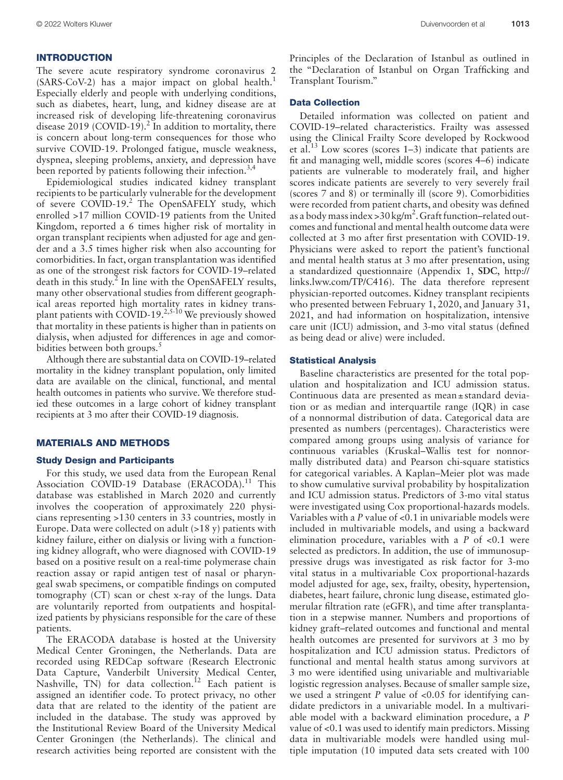# INTRODUCTION

The severe acute respiratory syndrome coronavirus 2 (SARS-CoV-2) has a major impact on global health.<sup>1</sup> Especially elderly and people with underlying conditions, such as diabetes, heart, lung, and kidney disease are at increased risk of developing life-threatening coronavirus disease 2019 (COVID-19).<sup>2</sup> In addition to mortality, there is concern about long-term consequences for those who survive COVID-19. Prolonged fatigue, muscle weakness, dyspnea, sleeping problems, anxiety, and depression have been reported by patients following their infection.<sup>3,4</sup>

Epidemiological studies indicated kidney transplant recipients to be particularly vulnerable for the development of severe COVID-19.<sup>2</sup> The OpenSAFELY study, which enrolled >17 million COVID-19 patients from the United Kingdom, reported a 6 times higher risk of mortality in organ transplant recipients when adjusted for age and gender and a 3.5 times higher risk when also accounting for comorbidities. In fact, organ transplantation was identified as one of the strongest risk factors for COVID-19–related death in this study.<sup>2</sup> In line with the OpenSAFELY results, many other observational studies from different geographical areas reported high mortality rates in kidney transplant patients with COVID-19.<sup>2,5-10</sup> We previously showed that mortality in these patients is higher than in patients on dialysis, when adjusted for differences in age and comorbidities between both groups.<sup>5</sup>

Although there are substantial data on COVID-19–related mortality in the kidney transplant population, only limited data are available on the clinical, functional, and mental health outcomes in patients who survive. We therefore studied these outcomes in a large cohort of kidney transplant recipients at 3 mo after their COVID-19 diagnosis.

# MATERIALS AND METHODS

### Study Design and Participants

For this study, we used data from the European Renal Association COVID-19 Database (ERACODA).<sup>11</sup> This database was established in March 2020 and currently involves the cooperation of approximately 220 physicians representing >130 centers in 33 countries, mostly in Europe. Data were collected on adult (>18 y) patients with kidney failure, either on dialysis or living with a functioning kidney allograft, who were diagnosed with COVID-19 based on a positive result on a real-time polymerase chain reaction assay or rapid antigen test of nasal or pharyngeal swab specimens, or compatible findings on computed tomography (CT) scan or chest x-ray of the lungs. Data are voluntarily reported from outpatients and hospitalized patients by physicians responsible for the care of these patients.

The ERACODA database is hosted at the University Medical Center Groningen, the Netherlands. Data are recorded using REDCap software (Research Electronic Data Capture, Vanderbilt University Medical Center, Nashville,  $TN$ ) for data collection.<sup>12</sup> Each patient is assigned an identifier code. To protect privacy, no other data that are related to the identity of the patient are included in the database. The study was approved by the Institutional Review Board of the University Medical Center Groningen (the Netherlands). The clinical and research activities being reported are consistent with the

Principles of the Declaration of Istanbul as outlined in the "Declaration of Istanbul on Organ Trafficking and Transplant Tourism."

# Data Collection

Detailed information was collected on patient and COVID-19–related characteristics. Frailty was assessed using the Clinical Frailty Score developed by Rockwood et al.<sup>13</sup> Low scores (scores 1–3) indicate that patients are fit and managing well, middle scores (scores 4–6) indicate patients are vulnerable to moderately frail, and higher scores indicate patients are severely to very severely frail (scores 7 and 8) or terminally ill (score 9). Comorbidities were recorded from patient charts, and obesity was defined as a body mass index > 30 kg/m<sup>2</sup>. Graft function–related outcomes and functional and mental health outcome data were collected at 3 mo after first presentation with COVID-19. Physicians were asked to report the patient's functional and mental health status at 3 mo after presentation, using a standardized questionnaire (Appendix 1, **SDC**, http:// links.lww.com/TP/C416). The data therefore represent physician-reported outcomes. Kidney transplant recipients who presented between February 1, 2020, and January 31, 2021, and had information on hospitalization, intensive care unit (ICU) admission, and 3-mo vital status (defined as being dead or alive) were included.

#### Statistical Analysis

Baseline characteristics are presented for the total population and hospitalization and ICU admission status. Continuous data are presented as mean±standard deviation or as median and interquartile range (IQR) in case of a nonnormal distribution of data. Categorical data are presented as numbers (percentages). Characteristics were compared among groups using analysis of variance for continuous variables (Kruskal–Wallis test for nonnormally distributed data) and Pearson chi-square statistics for categorical variables. A Kaplan–Meier plot was made to show cumulative survival probability by hospitalization and ICU admission status. Predictors of 3-mo vital status were investigated using Cox proportional-hazards models. Variables with a *P* value of <0.1 in univariable models were included in multivariable models, and using a backward elimination procedure, variables with a *P* of <0.1 were selected as predictors. In addition, the use of immunosuppressive drugs was investigated as risk factor for 3-mo vital status in a multivariable Cox proportional-hazards model adjusted for age, sex, frailty, obesity, hypertension, diabetes, heart failure, chronic lung disease, estimated glomerular filtration rate (eGFR), and time after transplantation in a stepwise manner. Numbers and proportions of kidney graft–related outcomes and functional and mental health outcomes are presented for survivors at 3 mo by hospitalization and ICU admission status. Predictors of functional and mental health status among survivors at 3 mo were identified using univariable and multivariable logistic regression analyses. Because of smaller sample size, we used a stringent *P* value of <0.05 for identifying candidate predictors in a univariable model. In a multivariable model with a backward elimination procedure, a *P* value of <0.1 was used to identify main predictors. Missing data in multivariable models were handled using multiple imputation (10 imputed data sets created with 100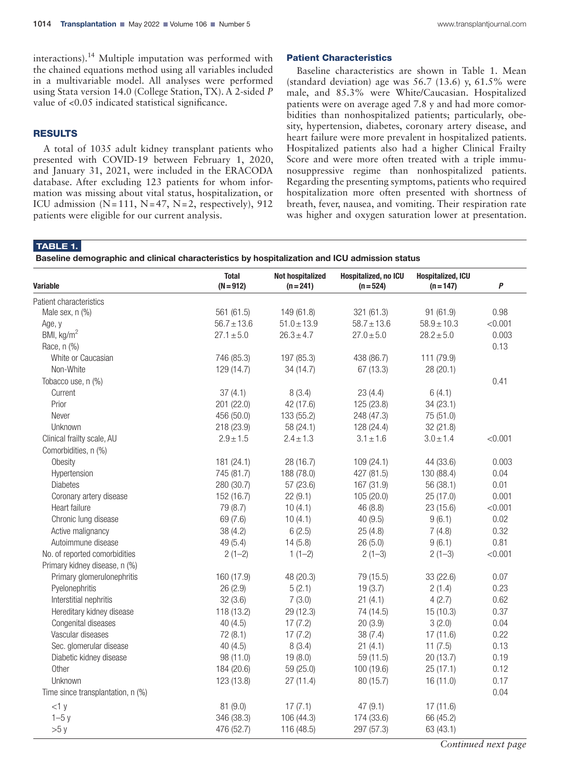interactions).<sup>14</sup> Multiple imputation was performed with the chained equations method using all variables included in a multivariable model. All analyses were performed using Stata version 14.0 (College Station, TX). A 2-sided *P* value of <0.05 indicated statistical significance.

# RESULTS

A total of 1035 adult kidney transplant patients who presented with COVID-19 between February 1, 2020, and January 31, 2021, were included in the ERACODA database. After excluding 123 patients for whom information was missing about vital status, hospitalization, or ICU admission  $(N=111, N=47, N=2, respectively)$ , 912 patients were eligible for our current analysis.

# Patient Characteristics

Baseline characteristics are shown in Table 1. Mean (standard deviation) age was 56.7 (13.6) y, 61.5% were male, and 85.3% were White/Caucasian. Hospitalized patients were on average aged 7.8 y and had more comorbidities than nonhospitalized patients; particularly, obesity, hypertension, diabetes, coronary artery disease, and heart failure were more prevalent in hospitalized patients. Hospitalized patients also had a higher Clinical Frailty Score and were more often treated with a triple immunosuppressive regime than nonhospitalized patients. Regarding the presenting symptoms, patients who required hospitalization more often presented with shortness of breath, fever, nausea, and vomiting. Their respiration rate was higher and oxygen saturation lower at presentation.

# TABLE 1.

Baseline demographic and clinical characteristics by hospitalization and ICU admission status

| Variable                          | <b>Total</b><br>$(N = 912)$ | <b>Not hospitalized</b><br>$(n = 241)$ | Hospitalized, no ICU<br>$(n = 524)$ | <b>Hospitalized, ICU</b><br>$(n = 147)$ | $\pmb{P}$           |
|-----------------------------------|-----------------------------|----------------------------------------|-------------------------------------|-----------------------------------------|---------------------|
| Patient characteristics           |                             |                                        |                                     |                                         |                     |
| Male sex, n (%)                   | 561 (61.5)                  | 149 (61.8)                             | 321 (61.3)                          | 91 (61.9)                               | 0.98                |
| Age, y                            | $56.7 \pm 13.6$             | $51.0 \pm 13.9$                        | $58.7 \pm 13.6$                     | $58.9 \pm 10.3$                         | < 0.001             |
| BMI, $kg/m2$                      | $27.1 \pm 5.0$              | $26.3 \pm 4.7$                         | $27.0 \pm 5.0$                      | $28.2 \pm 5.0$                          | 0.003               |
| Race, n (%)                       |                             |                                        |                                     |                                         | 0.13                |
| White or Caucasian                | 746 (85.3)                  | 197 (85.3)                             | 438 (86.7)                          | 111 (79.9)                              |                     |
| Non-White                         | 129 (14.7)                  | 34 (14.7)                              | 67 (13.3)                           | 28 (20.1)                               |                     |
| Tobacco use, n (%)                |                             |                                        |                                     |                                         | 0.41                |
| Current                           | 37(4.1)                     | 8(3.4)                                 | 23(4.4)                             | 6(4.1)                                  |                     |
| Prior                             | 201 (22.0)                  | 42 (17.6)                              | 125 (23.8)                          | 34(23.1)                                |                     |
| Never                             | 456 (50.0)                  | 133 (55.2)                             | 248 (47.3)                          | 75 (51.0)                               |                     |
| Unknown                           | 218 (23.9)                  | 58 (24.1)                              | 128 (24.4)                          | 32 (21.8)                               |                     |
| Clinical frailty scale, AU        | $2.9 + 1.5$                 | $2.4 \pm 1.3$                          | $3.1 \pm 1.6$                       | $3.0 \pm 1.4$                           | < 0.001             |
| Comorbidities, n (%)              |                             |                                        |                                     |                                         |                     |
| Obesity                           | 181 (24.1)                  | 28 (16.7)                              | 109 (24.1)                          | 44 (33.6)                               | 0.003               |
| Hypertension                      | 745 (81.7)                  | 188 (78.0)                             | 427 (81.5)                          | 130 (88.4)                              | 0.04                |
| <b>Diabetes</b>                   | 280 (30.7)                  | 57 (23.6)                              | 167 (31.9)                          | 56 (38.1)                               | 0.01                |
| Coronary artery disease           | 152 (16.7)                  | 22(9.1)                                | 105 (20.0)                          | 25(17.0)                                | 0.001               |
| Heart failure                     | 79 (8.7)                    | 10(4.1)                                | 46 (8.8)                            | 23(15.6)                                | < 0.001             |
| Chronic lung disease              | 69 (7.6)                    | 10(4.1)                                | 40(9.5)                             | 9(6.1)                                  | 0.02                |
| Active malignancy                 | 38 (4.2)                    | 6(2.5)                                 | 25(4.8)                             | 7(4.8)                                  | 0.32                |
| Autoimmune disease                | 49(5.4)                     | 14(5.8)                                | 26(5.0)                             | 9(6.1)                                  | 0.81                |
| No. of reported comorbidities     | $2(1-2)$                    | $1(1-2)$                               | $2(1-3)$                            | $2(1-3)$                                | < 0.001             |
| Primary kidney disease, n (%)     |                             |                                        |                                     |                                         |                     |
| Primary glomerulonephritis        | 160 (17.9)                  | 48 (20.3)                              | 79 (15.5)                           | 33 (22.6)                               | 0.07                |
| Pyelonephritis                    | 26(2.9)                     | 5(2.1)                                 | 19(3.7)                             | 2(1.4)                                  | 0.23                |
| Interstitial nephritis            | 32(3.6)                     | 7(3.0)                                 | 21(4.1)                             | 4(2.7)                                  | 0.62                |
| Hereditary kidney disease         | 118 (13.2)                  | 29 (12.3)                              | 74 (14.5)                           | 15(10.3)                                | 0.37                |
| Congenital diseases               | 40(4.5)                     | 17(7.2)                                | 20(3.9)                             | 3(2.0)                                  | 0.04                |
| Vascular diseases                 | 72(8.1)                     | 17(7.2)                                | 38(7.4)                             | 17(11.6)                                | 0.22                |
| Sec. glomerular disease           | 40(4.5)                     | 8(3.4)                                 | 21(4.1)                             | 11(7.5)                                 | 0.13                |
| Diabetic kidney disease           | 98 (11.0)                   | 19(8.0)                                | 59 (11.5)                           | 20 (13.7)                               | 0.19                |
| Other                             | 184 (20.6)                  | 59 (25.0)                              | 100 (19.6)                          | 25(17.1)                                | 0.12                |
| Unknown                           | 123 (13.8)                  | 27(11.4)                               | 80 (15.7)                           | 16(11.0)                                | 0.17                |
| Time since transplantation, n (%) |                             |                                        |                                     |                                         | 0.04                |
| $<1$ y                            | 81 (9.0)                    | 17(7.1)                                | 47(9.1)                             | 17(11.6)                                |                     |
| $1-5y$                            | 346 (38.3)                  | 106 (44.3)                             | 174 (33.6)                          | 66 (45.2)                               |                     |
| >5y                               | 476 (52.7)                  | 116 (48.5)                             | 297 (57.3)                          | 63 (43.1)                               |                     |
|                                   |                             |                                        |                                     |                                         | Continued next page |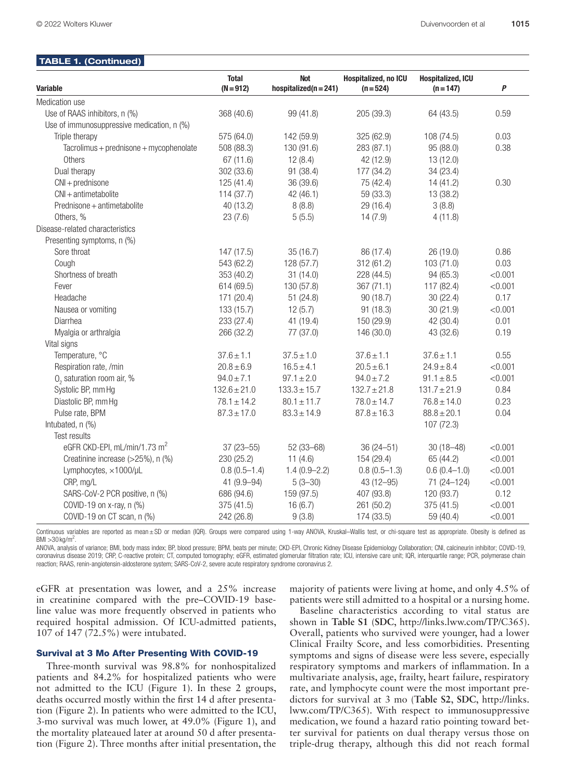#### Medication use Use of RAAS inhibitors, n (%) 368 (40.6) 99 (41.8) 205 (39.3) 64 (43.5) 0.59 Use of immunosuppressive medication, n (%) Triple therapy 575 (64.0) 142 (59.9) 325 (62.9) 108 (74.5) 0.03 Tacrolimus+prednisone+mycophenolate 508 (88.3) 130 (91.6) 283 (87.1) 95 (88.0) 0.38 Others 67 (11.6) 12 (8.4) 42 (12.9) 13 (12.0) Dual therapy 302 (33.6) 91 (38.4) 177 (34.2) 34 (23.4) CNI+prednisone 125 (41.4) 36 (39.6) 75 (42.4) 14 (41.2) 0.30 CNI+antimetabolite 114 (37.7) 42 (46.1) 59 (33.3) 13 (38.2) Prednisone + antimetabolite 40 (13.2) 40 (13.2) 8 (8.8) 4 (16.4) 3 (8.8) Others, % 23 (7.6) 5 (5.5) 14 (7.9) 4 (11.8) Disease-related characteristics Presenting symptoms, n (%) Sore throat 147 (17.5) 35 (16.7) 36 (17.4) 26 (19.0) 0.86 Cough 543 (62.2) 128 (57.7) 312 (61.2) 103 (71.0) 0.03 Shortness of breath  $353 (40.2)$   $31 (14.0)$   $228 (44.5)$   $94 (65.3)$   $< 0.001$  Fever 614 (69.5) 130 (57.8) 367 (71.1) 117 (82.4) <0.001 Headache 171 (20.4) 51 (24.8) 90 (18.7) 30 (22.4) 0.17 Nausea or vomiting  $\sim$  133 (15.7) 12 (5.7) 91 (18.3) 30 (21.9)  $\sim$  0.001 Diarrhea 233 (27.4) 41 (19.4) 150 (29.9) 42 (30.4) 0.01 Myalgia or arthralgia 266 (32.2) 77 (37.0) 146 (30.0) 43 (32.6) 0.19 Vital signs Temperature, °C 37.6±1.1 37.5±1.0 37.6±1.1 37.6±1.1 0.55 Respiration rate, /min 20.8±6.9 16.5±4.1 20.5±6.1 24.9±8.4 <0.001  $O_2$  saturation room air, % 94.0±7.1 97.1±2.0 94.0±7.2 91.1±8.5  $\langle 0.001$ Systolic BP, mm Hg  $132.6 \pm 21.0$   $133.3 \pm 15.7$   $132.7 \pm 21.8$   $131.7 \pm 21.9$  0.84 Diastolic BP, mm Hq  $78.1 \pm 14.2$   $80.1 \pm 11.7$   $78.0 \pm 14.7$   $76.8 \pm 14.0$  0.23 Pulse rate, BPM 87.3±17.0 83.3±14.9 87.8±16.3 88.8±20.1 0.04 Intubated, n (%) 107 (72.3) Test results eGFR CKD-EPI, mL/min/1.73 m2 37 (23–55) 52 (33–68) 36 (24–51) 30 (18–48) <0.001 Creatinine increase (>25%), n (%) 230 (25.2) 11 (4.6) 154 (29.4) 65 (44.2) <0.001 Lymphocytes, ×1000/μL 0.8 (0.5–1.4) 1.4 (0.9–2.2) 0.8 (0.5–1.3) 0.6 (0.4–1.0) <0.001 TABLE 1. (Continued) Variable **Total**  $(N=912)$ Not hospitalized(n=241) Hospitalized, no ICU  $(n=524)$ Hospitalized, ICU (n=147) *P*

Continuous variables are reported as mean±SD or median (IQR). Groups were compared using 1-way ANOVA, Kruskal–Wallis test, or chi-square test as appropriate. Obesity is defined as  $BMI > 30$  kg/m<sup>2</sup> .

 CRP, mg/L 41 (9.9–94) 5 (3–30) 43 (12–95) 71 (24–124) <0.001 SARS-CoV-2 PCR positive, n (%) 686 (94.6) 159 (97.5) 407 (93.8) 120 (93.7) 0.12 COVID-19 on x-ray, n (%)  $375(41.5)$   $376(41.5)$   $16(6.7)$   $261(50.2)$   $375(41.5)$   $<0.001$ COVID-19 on CT scan, n (%) 242 (26.8) 9 (3.8) 174 (33.5) 59 (40.4) <0.001

ANOVA, analysis of variance; BMI, body mass index; BP, blood pressure; BPM, beats per minute; CKD-EPI, Chronic Kidney Disease Epidemiology Collaboration; CNI, calcineurin inhibitor; COVID-19, coronavirus disease 2019; CRP, C-reactive protein; CT, computed tomography; eGFR, estimated glomerular filtration rate; ICU, intensive care unit; IQR, interquartile range; PCR, polymerase chain reaction; RAAS, renin-angiotensin-aldosterone system; SARS-CoV-2, severe acute respiratory syndrome coronavirus 2.

eGFR at presentation was lower, and a 25% increase in creatinine compared with the pre–COVID-19 baseline value was more frequently observed in patients who required hospital admission. Of ICU-admitted patients, 107 of 147 (72.5%) were intubated.

majority of patients were living at home, and only 4.5% of patients were still admitted to a hospital or a nursing home.

#### Survival at 3 Mo After Presenting With COVID-19

Three-month survival was 98.8% for nonhospitalized patients and 84.2% for hospitalized patients who were not admitted to the ICU (Figure 1). In these 2 groups, deaths occurred mostly within the first 14 d after presentation (Figure 2). In patients who were admitted to the ICU, 3-mo survival was much lower, at 49.0% (Figure 1), and the mortality plateaued later at around 50 d after presentation (Figure 2). Three months after initial presentation, the

Baseline characteristics according to vital status are shown in **Table S1** (**SDC**, [http://links.lww.com/TP/C365\)](http://links.lww.com/TP/C365). Overall, patients who survived were younger, had a lower Clinical Frailty Score, and less comorbidities. Presenting symptoms and signs of disease were less severe, especially respiratory symptoms and markers of inflammation. In a multivariate analysis, age, frailty, heart failure, respiratory rate, and lymphocyte count were the most important predictors for survival at 3 mo (**Table S2**, **SDC**, [http://links.](http://links.lww.com/TP/C365) [lww.com/TP/C365](http://links.lww.com/TP/C365)). With respect to immunosuppressive medication, we found a hazard ratio pointing toward better survival for patients on dual therapy versus those on triple-drug therapy, although this did not reach formal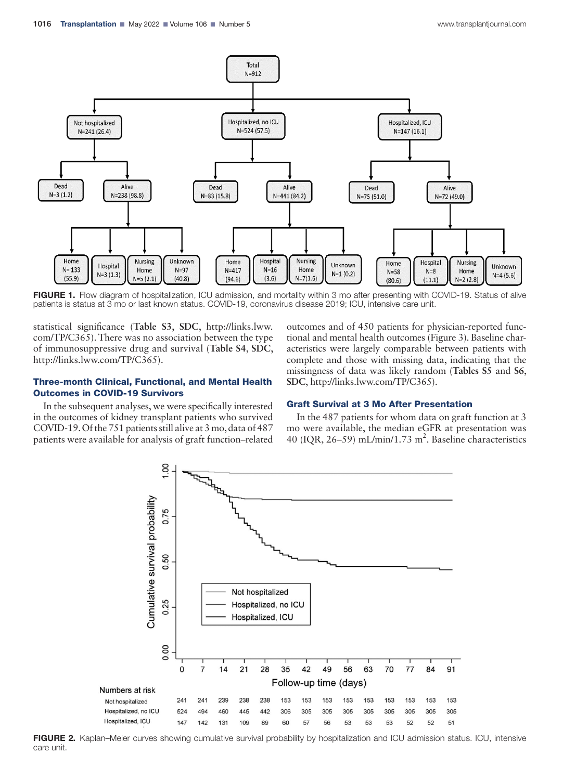

**FIGURE 1.** Flow diagram of hospitalization, ICU admission, and mortality within 3 mo after presenting with COVID-19. Status of alive patients is status at 3 mo or last known status. COVID-19, coronavirus disease 2019; ICU, intensive care unit.

statistical significance (**Table S3**, **SDC**, [http://links.lww.](http://links.lww.com/TP/C365) [com/TP/C365](http://links.lww.com/TP/C365)). There was no association between the type of immunosuppressive drug and survival (**Table S4**, **SDC**, <http://links.lww.com/TP/C365>).

# Three-month Clinical, Functional, and Mental Health Outcomes in COVID-19 Survivors

In the subsequent analyses, we were specifically interested in the outcomes of kidney transplant patients who survived COVID-19. Of the 751 patients still alive at 3 mo, data of 487 patients were available for analysis of graft function–related

outcomes and of 450 patients for physician-reported functional and mental health outcomes (Figure 3). Baseline characteristics were largely comparable between patients with complete and those with missing data, indicating that the missingness of data was likely random (**Tables S5** and **S6**, **SDC**, <http://links.lww.com/TP/C365>).

# Graft Survival at 3 Mo After Presentation

In the 487 patients for whom data on graft function at 3 mo were available, the median eGFR at presentation was 40 (IQR, 26-59) mL/min/1.73 m<sup>2</sup>. Baseline characteristics



FIGURE 2. Kaplan–Meier curves showing cumulative survival probability by hospitalization and ICU admission status. ICU, intensive care unit.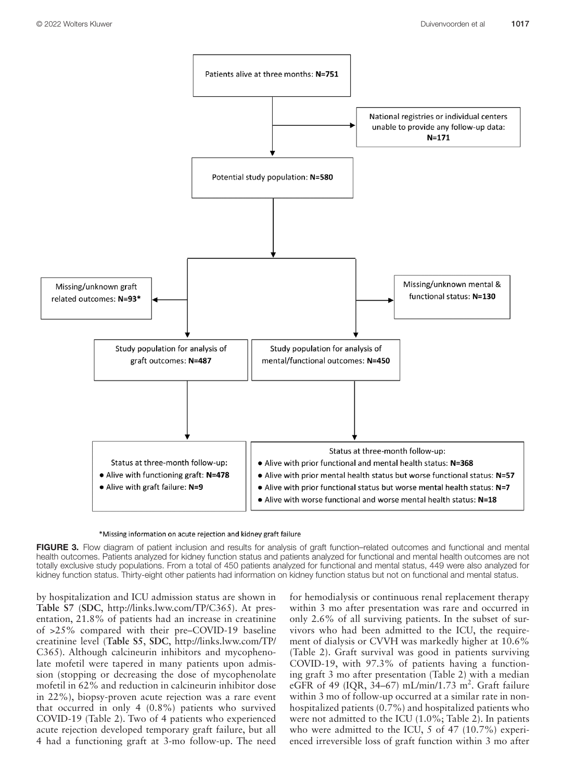

\*Missing information on acute rejection and kidney graft failure

FIGURE 3. Flow diagram of patient inclusion and results for analysis of graft function–related outcomes and functional and mental health outcomes. Patients analyzed for kidney function status and patients analyzed for functional and mental health outcomes are not totally exclusive study populations. From a total of 450 patients analyzed for functional and mental status, 449 were also analyzed for kidney function status. Thirty-eight other patients had information on kidney function status but not on functional and mental status.

by hospitalization and ICU admission status are shown in **Table S7** (**SDC**, [http://links.lww.com/TP/C365\)](http://links.lww.com/TP/C365). At presentation, 21.8% of patients had an increase in creatinine of >25% compared with their pre–COVID-19 baseline creatinine level (**Table S5**, **SDC**, [http://links.lww.com/TP/](http://links.lww.com/TP/C365) [C365\)](http://links.lww.com/TP/C365). Although calcineurin inhibitors and mycophenolate mofetil were tapered in many patients upon admission (stopping or decreasing the dose of mycophenolate mofetil in 62% and reduction in calcineurin inhibitor dose in 22%), biopsy-proven acute rejection was a rare event that occurred in only 4 (0.8%) patients who survived COVID-19 (Table 2). Two of 4 patients who experienced acute rejection developed temporary graft failure, but all 4 had a functioning graft at 3-mo follow-up. The need

for hemodialysis or continuous renal replacement therapy within 3 mo after presentation was rare and occurred in only 2.6% of all surviving patients. In the subset of survivors who had been admitted to the ICU, the requirement of dialysis or CVVH was markedly higher at 10.6% (Table 2). Graft survival was good in patients surviving COVID-19, with 97.3% of patients having a functioning graft 3 mo after presentation (Table 2) with a median eGFR of 49 (IQR,  $34-67$ ) mL/min/1.73 m<sup>2</sup>. Graft failure within 3 mo of follow-up occurred at a similar rate in nonhospitalized patients (0.7%) and hospitalized patients who were not admitted to the ICU (1.0%; Table 2). In patients who were admitted to the ICU, 5 of 47 (10.7%) experienced irreversible loss of graft function within 3 mo after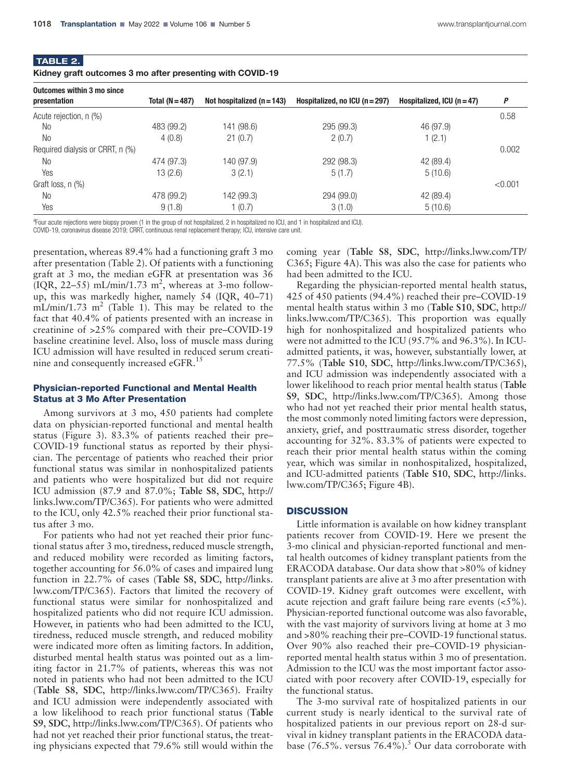| TABLE 2. |                                                           |  |
|----------|-----------------------------------------------------------|--|
|          | Kidney graft outcomes 3 mo after presenting with COVID-19 |  |

| Outcomes within 3 mo since       |                     |                            |                                  |                            |         |
|----------------------------------|---------------------|----------------------------|----------------------------------|----------------------------|---------|
| presentation                     | Total ( $N = 487$ ) | Not hospitalized $(n=143)$ | Hospitalized, no ICU $(n = 297)$ | Hospitalized, ICU $(n=47)$ | P       |
| Acute rejection, n (%)           |                     |                            |                                  |                            | 0.58    |
| No.                              | 483 (99.2)          | 141 (98.6)                 | 295 (99.3)                       | 46 (97.9)                  |         |
| N <sub>0</sub>                   | 4(0.8)              | 21(0.7)                    | 2(0.7)                           | 1(2.1)                     |         |
| Required dialysis or CRRT, n (%) |                     |                            |                                  |                            | 0.002   |
| No                               | 474 (97.3)          | 140 (97.9)                 | 292 (98.3)                       | 42 (89.4)                  |         |
| Yes                              | 13 (2.6)            | 3(2.1)                     | 5(1.7)                           | 5(10.6)                    |         |
| Graft loss, n (%)                |                     |                            |                                  |                            | < 0.001 |
| No                               | 478 (99.2)          | 142 (99.3)                 | 294 (99.0)                       | 42 (89.4)                  |         |
| Yes                              | 9(1.8)              | 1(0.7)                     | 3(1.0)                           | 5(10.6)                    |         |

*a* Four acute rejections were biopsy proven (1 in the group of not hospitalized, 2 in hospitalized no ICU, and 1 in hospitalized and ICU).

COVID-19, coronavirus disease 2019; CRRT, continuous renal replacement therapy; ICU, intensive care unit.

presentation, whereas 89.4% had a functioning graft 3 mo after presentation (Table 2). Of patients with a functioning graft at 3 mo, the median eGFR at presentation was 36  $( IQR, 22-55)$  mL/min/1.73 m<sup>2</sup>, whereas at 3-mo followup, this was markedly higher, namely 54 (IQR, 40–71)  $mL/min/1.73$   $m^2$  (Table 1). This may be related to the fact that 40.4% of patients presented with an increase in creatinine of >25% compared with their pre–COVID-19 baseline creatinine level. Also, loss of muscle mass during ICU admission will have resulted in reduced serum creatinine and consequently increased eGFR.<sup>15</sup>

# Physician-reported Functional and Mental Health Status at 3 Mo After Presentation

Among survivors at 3 mo, 450 patients had complete data on physician-reported functional and mental health status (Figure 3). 83.3% of patients reached their pre– COVID-19 functional status as reported by their physician. The percentage of patients who reached their prior functional status was similar in nonhospitalized patients and patients who were hospitalized but did not require ICU admission (87.9 and 87.0%; **Table S8**, **SDC**, [http://](http://links.lww.com/TP/C365) [links.lww.com/TP/C365](http://links.lww.com/TP/C365)). For patients who were admitted to the ICU, only 42.5% reached their prior functional status after 3 mo.

For patients who had not yet reached their prior functional status after 3 mo, tiredness, reduced muscle strength, and reduced mobility were recorded as limiting factors, together accounting for 56.0% of cases and impaired lung function in 22.7% of cases (**Table S8**, **SDC**, [http://links.](http://links.lww.com/TP/C365) [lww.com/TP/C365](http://links.lww.com/TP/C365)). Factors that limited the recovery of functional status were similar for nonhospitalized and hospitalized patients who did not require ICU admission. However, in patients who had been admitted to the ICU, tiredness, reduced muscle strength, and reduced mobility were indicated more often as limiting factors. In addition, disturbed mental health status was pointed out as a limiting factor in 21.7% of patients, whereas this was not noted in patients who had not been admitted to the ICU (**Table S8**, **SDC**, [http://links.lww.com/TP/C365\)](http://links.lww.com/TP/C365). Frailty and ICU admission were independently associated with a low likelihood to reach prior functional status (**Table S9**, **SDC**, [http://links.lww.com/TP/C365\)](http://links.lww.com/TP/C365). Of patients who had not yet reached their prior functional status, the treating physicians expected that 79.6% still would within the

coming year (**Table S8**, **SDC**, [http://links.lww.com/TP/](http://links.lww.com/TP/C365) [C365;](http://links.lww.com/TP/C365) Figure 4A). This was also the case for patients who had been admitted to the ICU.

Regarding the physician-reported mental health status, 425 of 450 patients (94.4%) reached their pre–COVID-19 mental health status within 3 mo (**Table S10**, **SDC**, http:// links.lww.com/TP/C365). This proportion was equally high for nonhospitalized and hospitalized patients who were not admitted to the ICU (95.7% and 96.3%). In ICUadmitted patients, it was, however, substantially lower, at 77.5% (**Table S10**, **SDC**, http://links.lww.com/TP/C365), and ICU admission was independently associated with a lower likelihood to reach prior mental health status (**Table S9**, **SDC**, http://links.lww.com/TP/C365). Among those who had not yet reached their prior mental health status, the most commonly noted limiting factors were depression, anxiety, grief, and posttraumatic stress disorder, together accounting for 32%. 83.3% of patients were expected to reach their prior mental health status within the coming year, which was similar in nonhospitalized, hospitalized, and ICU-admitted patients (**Table S10**, **SDC**, http://links. lww.com/TP/C365; Figure 4B).

# **DISCUSSION**

Little information is available on how kidney transplant patients recover from COVID-19. Here we present the 3-mo clinical and physician-reported functional and mental health outcomes of kidney transplant patients from the ERACODA database. Our data show that >80% of kidney transplant patients are alive at 3 mo after presentation with COVID-19. Kidney graft outcomes were excellent, with acute rejection and graft failure being rare events (<5%). Physician-reported functional outcome was also favorable, with the vast majority of survivors living at home at 3 mo and >80% reaching their pre–COVID-19 functional status. Over 90% also reached their pre–COVID-19 physicianreported mental health status within 3 mo of presentation. Admission to the ICU was the most important factor associated with poor recovery after COVID-19, especially for the functional status.

The 3-mo survival rate of hospitalized patients in our current study is nearly identical to the survival rate of hospitalized patients in our previous report on 28-d survival in kidney transplant patients in the ERACODA database (76.5%. versus  $76.4\%$ ).<sup>5</sup> Our data corroborate with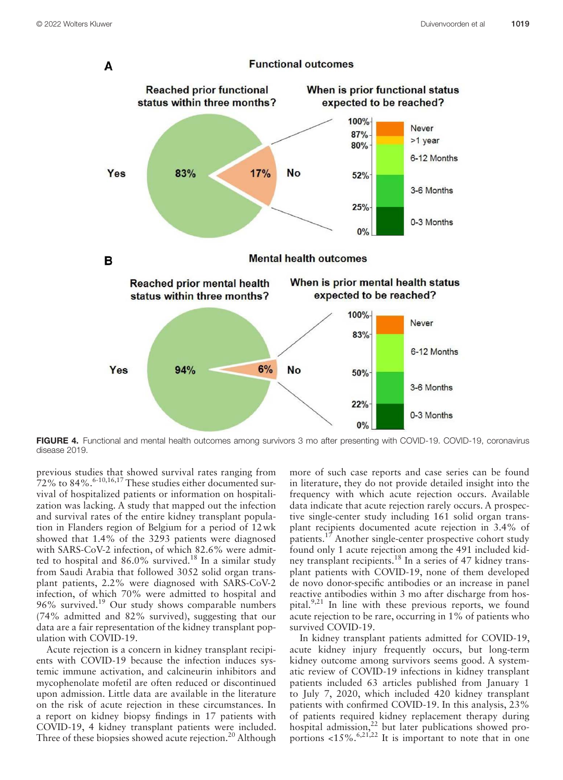

FIGURE 4. Functional and mental health outcomes among survivors 3 mo after presenting with COVID-19. COVID-19, coronavirus disease 2019.

previous studies that showed survival rates ranging from  $72\%$  to 84%.<sup>6-10,16,17</sup> These studies either documented survival of hospitalized patients or information on hospitalization was lacking. A study that mapped out the infection and survival rates of the entire kidney transplant population in Flanders region of Belgium for a period of 12wk showed that 1.4% of the 3293 patients were diagnosed with SARS-CoV-2 infection, of which 82.6% were admitted to hospital and  $86.0\%$  survived.<sup>18</sup> In a similar study from Saudi Arabia that followed 3052 solid organ transplant patients, 2.2% were diagnosed with SARS-CoV-2 infection, of which 70% were admitted to hospital and 96% survived.19 Our study shows comparable numbers (74% admitted and 82% survived), suggesting that our data are a fair representation of the kidney transplant population with COVID-19.

Acute rejection is a concern in kidney transplant recipients with COVID-19 because the infection induces systemic immune activation, and calcineurin inhibitors and mycophenolate mofetil are often reduced or discontinued upon admission. Little data are available in the literature on the risk of acute rejection in these circumstances. In a report on kidney biopsy findings in 17 patients with COVID-19, 4 kidney transplant patients were included. Three of these biopsies showed acute rejection.<sup>20</sup> Although more of such case reports and case series can be found in literature, they do not provide detailed insight into the frequency with which acute rejection occurs. Available data indicate that acute rejection rarely occurs. A prospective single-center study including 161 solid organ transplant recipients documented acute rejection in 3.4% of patients.<sup>17</sup> Another single-center prospective cohort study found only 1 acute rejection among the 491 included kidney transplant recipients.18 In a series of 47 kidney transplant patients with COVID-19, none of them developed de novo donor-specific antibodies or an increase in panel reactive antibodies within 3 mo after discharge from hospital. $9,21$  In line with these previous reports, we found acute rejection to be rare, occurring in 1% of patients who survived COVID-19.

In kidney transplant patients admitted for COVID-19, acute kidney injury frequently occurs, but long-term kidney outcome among survivors seems good. A systematic review of COVID-19 infections in kidney transplant patients included 63 articles published from January 1 to July 7, 2020, which included 420 kidney transplant patients with confirmed COVID-19. In this analysis, 23% of patients required kidney replacement therapy during hospital admission, $^{22}$  but later publications showed proportions <15%.<sup>6,21,22</sup> It is important to note that in one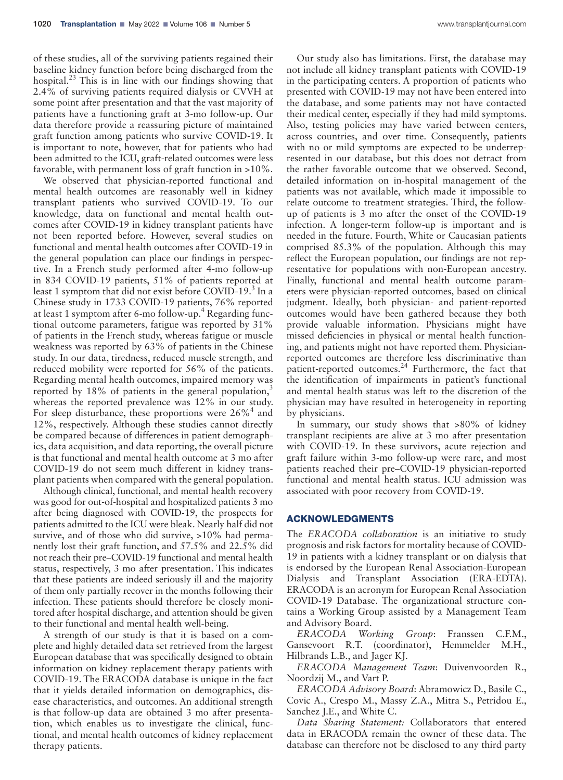of these studies, all of the surviving patients regained their baseline kidney function before being discharged from the hospital. $^{23}$  This is in line with our findings showing that 2.4% of surviving patients required dialysis or CVVH at some point after presentation and that the vast majority of patients have a functioning graft at 3-mo follow-up. Our data therefore provide a reassuring picture of maintained graft function among patients who survive COVID-19. It is important to note, however, that for patients who had been admitted to the ICU, graft-related outcomes were less favorable, with permanent loss of graft function in >10%.

We observed that physician-reported functional and mental health outcomes are reasonably well in kidney transplant patients who survived COVID-19. To our knowledge, data on functional and mental health outcomes after COVID-19 in kidney transplant patients have not been reported before. However, several studies on functional and mental health outcomes after COVID-19 in the general population can place our findings in perspective. In a French study performed after 4-mo follow-up in 834 COVID-19 patients, 51% of patients reported at least 1 symptom that did not exist before COVID-19.<sup>3</sup> In a Chinese study in 1733 COVID-19 patients, 76% reported at least 1 symptom after 6-mo follow-up.<sup>4</sup> Regarding functional outcome parameters, fatigue was reported by 31% of patients in the French study, whereas fatigue or muscle weakness was reported by 63% of patients in the Chinese study. In our data, tiredness, reduced muscle strength, and reduced mobility were reported for 56% of the patients. Regarding mental health outcomes, impaired memory was reported by 18% of patients in the general population, $3$ whereas the reported prevalence was 12% in our study. For sleep disturbance, these proportions were 26%<sup>4</sup> and 12%, respectively. Although these studies cannot directly be compared because of differences in patient demographics, data acquisition, and data reporting, the overall picture is that functional and mental health outcome at 3 mo after COVID-19 do not seem much different in kidney transplant patients when compared with the general population.

Although clinical, functional, and mental health recovery was good for out-of-hospital and hospitalized patients 3 mo after being diagnosed with COVID-19, the prospects for patients admitted to the ICU were bleak. Nearly half did not survive, and of those who did survive,  $>10\%$  had permanently lost their graft function, and 57.5% and 22.5% did not reach their pre–COVID-19 functional and mental health status, respectively, 3 mo after presentation. This indicates that these patients are indeed seriously ill and the majority of them only partially recover in the months following their infection. These patients should therefore be closely monitored after hospital discharge, and attention should be given to their functional and mental health well-being.

A strength of our study is that it is based on a complete and highly detailed data set retrieved from the largest European database that was specifically designed to obtain information on kidney replacement therapy patients with COVID-19. The ERACODA database is unique in the fact that it yields detailed information on demographics, disease characteristics, and outcomes. An additional strength is that follow-up data are obtained 3 mo after presentation, which enables us to investigate the clinical, functional, and mental health outcomes of kidney replacement therapy patients.

Our study also has limitations. First, the database may not include all kidney transplant patients with COVID-19 in the participating centers. A proportion of patients who presented with COVID-19 may not have been entered into the database, and some patients may not have contacted their medical center, especially if they had mild symptoms. Also, testing policies may have varied between centers, across countries, and over time. Consequently, patients with no or mild symptoms are expected to be underrepresented in our database, but this does not detract from the rather favorable outcome that we observed. Second, detailed information on in-hospital management of the patients was not available, which made it impossible to relate outcome to treatment strategies. Third, the followup of patients is 3 mo after the onset of the COVID-19 infection. A longer-term follow-up is important and is needed in the future. Fourth, White or Caucasian patients comprised 85.3% of the population. Although this may reflect the European population, our findings are not representative for populations with non-European ancestry. Finally, functional and mental health outcome parameters were physician-reported outcomes, based on clinical judgment. Ideally, both physician- and patient-reported outcomes would have been gathered because they both provide valuable information. Physicians might have missed deficiencies in physical or mental health functioning, and patients might not have reported them. Physicianreported outcomes are therefore less discriminative than patient-reported outcomes.<sup>24</sup> Furthermore, the fact that the identification of impairments in patient's functional and mental health status was left to the discretion of the physician may have resulted in heterogeneity in reporting by physicians.

In summary, our study shows that >80% of kidney transplant recipients are alive at 3 mo after presentation with COVID-19. In these survivors, acute rejection and graft failure within 3-mo follow-up were rare, and most patients reached their pre–COVID-19 physician-reported functional and mental health status. ICU admission was associated with poor recovery from COVID-19.

#### ACKNOWLEDGMENTS

The *ERACODA collaboration* is an initiative to study prognosis and risk factors for mortality because of COVID-19 in patients with a kidney transplant or on dialysis that is endorsed by the European Renal Association-European Dialysis and Transplant Association (ERA-EDTA). ERACODA is an acronym for European Renal Association COVID-19 Database. The organizational structure contains a Working Group assisted by a Management Team and Advisory Board.

*ERACODA Working Group*: Franssen C.F.M., Gansevoort R.T. (coordinator), Hemmelder M.H., Hilbrands L.B., and Jager KJ.

*ERACODA Management Team*: Duivenvoorden R., Noordzij M., and Vart P.

*ERACODA Advisory Board*: Abramowicz D., Basile C., Covic A., Crespo M., Massy Z.A., Mitra S., Petridou E., Sanchez J.E., and White C.

*Data Sharing Statement:* Collaborators that entered data in ERACODA remain the owner of these data. The database can therefore not be disclosed to any third party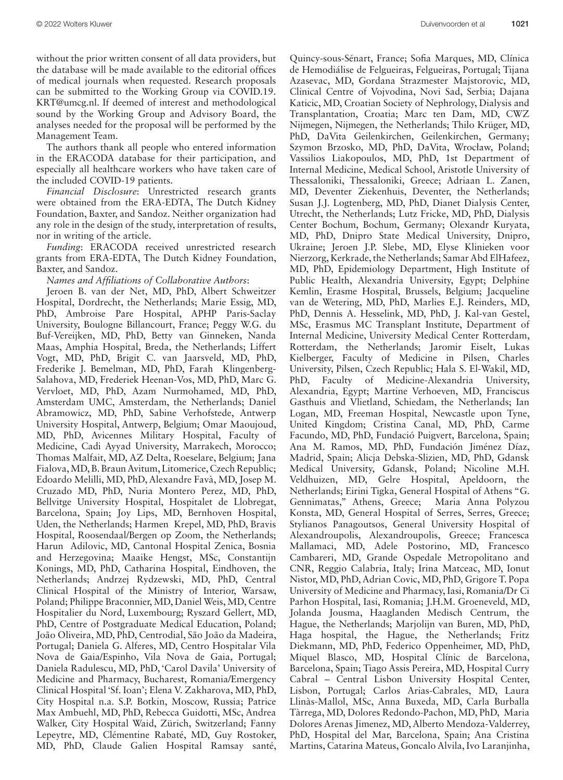without the prior written consent of all data providers, but the database will be made available to the editorial offices of medical journals when requested. Research proposals can be submitted to the Working Group via COVID.19. KRT@umcg.nl. If deemed of interest and methodological sound by the Working Group and Advisory Board, the analyses needed for the proposal will be performed by the Management Team.

The authors thank all people who entered information in the ERACODA database for their participation, and especially all healthcare workers who have taken care of the included COVID-19 patients.

*Financial Disclosure*: Unrestricted research grants were obtained from the ERA-EDTA, The Dutch Kidney Foundation, Baxter, and Sandoz. Neither organization had any role in the design of the study, interpretation of results, nor in writing of the article.

*Funding*: ERACODA received unrestricted research grants from ERA-EDTA, The Dutch Kidney Foundation, Baxter, and Sandoz.

*Names and Affiliations of Collaborative Authors*:

Jeroen B. van der Net, MD, PhD, Albert Schweitzer Hospital, Dordrecht, the Netherlands; Marie Essig, MD, PhD, Ambroise Pare Hospital, APHP Paris-Saclay University, Boulogne Billancourt, France; Peggy W.G. du Buf-Vereijken, MD, PhD, Betty van Ginneken, Nanda Maas, Amphia Hospital, Breda, the Netherlands; Liffert Vogt, MD, PhD, Brigit C. van Jaarsveld, MD, PhD, Frederike J. Bemelman, MD, PhD, Farah Klingenberg-Salahova, MD, Frederiek Heenan-Vos, MD, PhD, Marc G. Vervloet, MD, PhD, Azam Nurmohamed, MD, PhD, Amsterdam UMC, Amsterdam, the Netherlands; Daniel Abramowicz, MD, PhD, Sabine Verhofstede, Antwerp University Hospital, Antwerp, Belgium; Omar Maoujoud, MD, PhD, Avicennes Military Hospital, Faculty of Medicine, Cadi Ayyad University, Marrakech, Morocco; Thomas Malfait, MD, AZ Delta, Roeselare, Belgium; Jana Fialova, MD, B. Braun Avitum, Litomerice, Czech Republic; Edoardo Melilli, MD, PhD, Alexandre Favà, MD, Josep M. Cruzado MD, PhD, Nuria Montero Perez, MD, PhD, Bellvitge University Hospital, Hospitalet de Llobregat, Barcelona, Spain; Joy Lips, MD, Bernhoven Hospital, Uden, the Netherlands; Harmen Krepel, MD, PhD, Bravis Hospital, Roosendaal/Bergen op Zoom, the Netherlands; Harun Adilovic, MD, Cantonal Hospital Zenica, Bosnia and Herzegovina; Maaike Hengst, MSc, Constantijn Konings, MD, PhD, Catharina Hospital, Eindhoven, the Netherlands; Andrzej Rydzewski, MD, PhD, Central Clinical Hospital of the Ministry of Interior, Warsaw, Poland; Philippe Braconnier, MD, Daniel Weis, MD, Centre Hospitalier du Nord, Luxembourg; Ryszard Gellert, MD, PhD, Centre of Postgraduate Medical Education, Poland; João Oliveira, MD, PhD, Centrodial, São João da Madeira, Portugal; Daniela G. Alferes, MD, Centro Hospitalar Vila Nova de Gaia/Espinho, Vila Nova de Gaia, Portugal; Daniela Radulescu, MD, PhD, 'Carol Davila' University of Medicine and Pharmacy, Bucharest, Romania/Emergency Clinical Hospital 'Sf. Ioan'; Elena V. Zakharova, MD, PhD, City Hospital n.a. S.P. Botkin, Moscow, Russia; Patrice Max Ambuehl, MD, PhD, Rebecca Guidotti, MSc, Andrea Walker, City Hospital Waid, Zürich, Switzerland; Fanny Lepeytre, MD, Clémentine Rabaté, MD, Guy Rostoker, MD, PhD, Claude Galien Hospital Ramsay santé, Quincy-sous-Sénart, France; Sofia Marques, MD, Clínica de Hemodiálise de Felgueiras, Felgueiras, Portugal; Tijana Azasevac, MD, Gordana Strazmester Majstorovic, MD, Clinical Centre of Vojvodina, Novi Sad, Serbia; Dajana Katicic, MD, Croatian Society of Nephrology, Dialysis and Transplantation, Croatia; Marc ten Dam, MD, CWZ Nijmegen, Nijmegen, the Netherlands; Thilo Krüger, MD, PhD, DaVita Geilenkirchen, Geilenkirchen, Germany; Szymon Brzosko, MD, PhD, DaVita, Wrocław, Poland; Vassilios Liakopoulos, MD, PhD, 1st Department of Internal Medicine, Medical School, Aristotle University of Thessaloniki, Thessaloniki, Greece; Adriaan L. Zanen, MD, Deventer Ziekenhuis, Deventer, the Netherlands; Susan J.J. Logtenberg, MD, PhD, Dianet Dialysis Center, Utrecht, the Netherlands; Lutz Fricke, MD, PhD, Dialysis Center Bochum, Bochum, Germany; Olexandr Kuryata, MD, PhD, Dnipro State Medical University, Dnipro, Ukraine; Jeroen J.P. Slebe, MD, Elyse Klinieken voor Nierzorg, Kerkrade, the Netherlands; Samar Abd ElHafeez, MD, PhD, Epidemiology Department, High Institute of Public Health, Alexandria University, Egypt; Delphine Kemlin, Erasme Hospital, Brussels, Belgium; Jacqueline van de Wetering, MD, PhD, Marlies E.J. Reinders, MD, PhD, Dennis A. Hesselink, MD, PhD, J. Kal-van Gestel, MSc, Erasmus MC Transplant Institute, Department of Internal Medicine, University Medical Center Rotterdam, Rotterdam, the Netherlands; Jaromir Eiselt, Lukas Kielberger, Faculty of Medicine in Pilsen, Charles University, Pilsen, Czech Republic; Hala S. El-Wakil, MD, PhD, Faculty of Medicine-Alexandria University, Alexandria, Egypt; Martine Verhoeven, MD, Franciscus Gasthuis and Vlietland, Schiedam, the Netherlands; Ian Logan, MD, Freeman Hospital, Newcastle upon Tyne, United Kingdom; Cristina Canal, MD, PhD, Carme Facundo, MD, PhD, Fundació Puigvert, Barcelona, Spain; Ana M. Ramos, MD, PhD, Fundación Jiménez Díaz, Madrid, Spain; Alicja Debska-Slizien, MD, PhD, Gdansk Medical University, Gdansk, Poland; Nicoline M.H. Veldhuizen, MD, Gelre Hospital, Apeldoorn, the Netherlands; Eirini Tigka, General Hospital of Athens "G. Gennimatas," Athens, Greece; Maria Anna Polyzou Konsta, MD, General Hospital of Serres, Serres, Greece; Stylianos Panagoutsos, General University Hospital of Alexandroupolis, Alexandroupolis, Greece; Francesca Mallamaci, MD, Adele Postorino, MD, Francesco Cambareri, MD, Grande Ospedale Metropolitano and CNR, Reggio Calabria, Italy; Irina Matceac, MD, Ionut Nistor, MD, PhD, Adrian Covic, MD, PhD, Grigore T. Popa University of Medicine and Pharmacy, Iasi, Romania/Dr Ci Parhon Hospital, Iasi, Romania; J.H.M. Groeneveld, MD, Jolanda Jousma, Haaglanden Medisch Centrum, the Hague, the Netherlands; Marjolijn van Buren, MD, PhD, Haga hospital, the Hague, the Netherlands; Fritz Diekmann, MD, PhD, Federico Oppenheimer, MD, PhD, Miquel Blasco, MD, Hospital Clínic de Barcelona, Barcelona, Spain; Tiago Assis Pereira, MD, Hospital Curry Cabral – Central Lisbon University Hospital Center, Lisbon, Portugal; Carlos Arias-Cabrales, MD, Laura Llinàs-Mallol, MSc, Anna Buxeda, MD, Carla Burballa Tàrrega, MD, Dolores Redondo-Pachon, MD, PhD, Maria Dolores Arenas Jimenez, MD, Alberto Mendoza-Valderrey, PhD, Hospital del Mar, Barcelona, Spain; Ana Cristina Martins, Catarina Mateus, Goncalo Alvila, Ivo Laranjinha,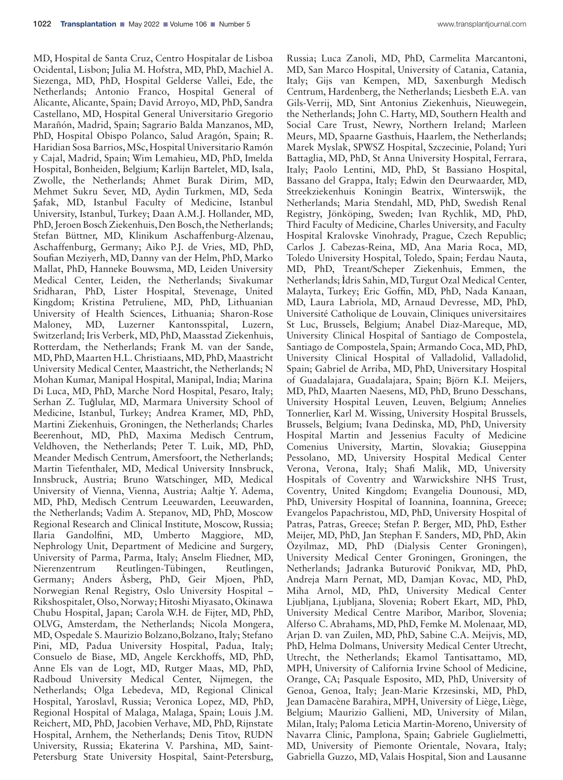MD, Hospital de Santa Cruz, Centro Hospitalar de Lisboa Ocidental, Lisbon; Julia M. Hofstra, MD, PhD, Machiel A. Siezenga, MD, PhD, Hospital Gelderse Vallei, Ede, the Netherlands; Antonio Franco, Hospital General of Alicante, Alicante, Spain; David Arroyo, MD, PhD, Sandra Castellano, MD, Hospital General Universitario Gregorio Marañón, Madrid, Spain; Sagrario Balda Manzanos, MD, PhD, Hospital Obispo Polanco, Salud Aragón, Spain; R. Haridian Sosa Barrios, MSc, Hospital Universitario Ramón y Cajal, Madrid, Spain; Wim Lemahieu, MD, PhD, Imelda Hospital, Bonheiden, Belgium; Karlijn Bartelet, MD, Isala, Zwolle, the Netherlands; Ahmet Burak Dirim, MD, Mehmet Sukru Sever, MD, Aydin Turkmen, MD, Seda Şafak, MD, Istanbul Faculty of Medicine, Istanbul University, Istanbul, Turkey; Daan A.M.J. Hollander, MD, PhD, Jeroen Bosch Ziekenhuis, Den Bosch, the Netherlands; Stefan Büttner, MD, Klinikum Aschaffenburg-Alzenau, Aschaffenburg, Germany; Aiko P.J. de Vries, MD, PhD, Soufian Meziyerh, MD, Danny van der Helm, PhD, Marko Mallat, PhD, Hanneke Bouwsma, MD, Leiden University Medical Center, Leiden, the Netherlands; Sivakumar Sridharan, PhD, Lister Hospital, Stevenage, United Kingdom; Kristina Petruliene, MD, PhD, Lithuanian University of Health Sciences, Lithuania; Sharon-Rose Maloney, MD, Luzerner Kantonsspital, Luzern, Switzerland; Iris Verberk, MD, PhD, Maasstad Ziekenhuis, Rotterdam, the Netherlands; Frank M. van der Sande, MD, PhD, Maarten H.L. Christiaans, MD, PhD, Maastricht University Medical Center, Maastricht, the Netherlands; N Mohan Kumar, Manipal Hospital, Manipal, India; Marina Di Luca, MD, PhD, Marche Nord Hospital, Pesaro, Italy; Serhan Z. Tuğlular, MD, Marmara University School of Medicine, Istanbul, Turkey; Andrea Kramer, MD, PhD, Martini Ziekenhuis, Groningen, the Netherlands; Charles Beerenhout, MD, PhD, Maxima Medisch Centrum, Veldhoven, the Netherlands; Peter T. Luik, MD, PhD, Meander Medisch Centrum, Amersfoort, the Netherlands; Martin Tiefenthaler, MD, Medical University Innsbruck, Innsbruck, Austria; Bruno Watschinger, MD, Medical University of Vienna, Vienna, Austria; Aaltje Y. Adema, MD, PhD, Medisch Centrum Leeuwarden, Leeuwarden, the Netherlands; Vadim A. Stepanov, MD, PhD, Moscow Regional Research and Clinical Institute, Moscow, Russia; Ilaria Gandolfini, MD, Umberto Maggiore, MD, Nephrology Unit, Department of Medicine and Surgery, University of Parma, Parma, Italy; Anselm Fliedner, MD, Nierenzentrum Reutlingen-Tübingen, Reutlingen, Germany; Anders Åsberg, PhD, Geir Mjoen, PhD, Norwegian Renal Registry, Oslo University Hospital – Rikshospitalet, Olso, Norway; Hitoshi Miyasato, Okinawa Chubu Hospital, Japan; Carola W.H. de Fijter, MD, PhD, OLVG, Amsterdam, the Netherlands; Nicola Mongera, MD, Ospedale S. Maurizio Bolzano,Bolzano, Italy; Stefano Pini, MD, Padua University Hospital, Padua, Italy; Consuelo de Biase, MD, Angele Kerckhoffs, MD, PhD, Anne Els van de Logt, MD, Rutger Maas, MD, PhD, Radboud University Medical Center, Nijmegen, the Netherlands; Olga Lebedeva, MD, Regional Clinical Hospital, Yaroslavl, Russia; Veronica Lopez, MD, PhD, Regional Hospital of Malaga, Malaga, Spain; Louis J.M. Reichert, MD, PhD, Jacobien Verhave, MD, PhD, Rijnstate Hospital, Arnhem, the Netherlands; Denis Titov, RUDN University, Russia; Ekaterina V. Parshina, MD, Saint-Petersburg State University Hospital, Saint-Petersburg, Russia; Luca Zanoli, MD, PhD, Carmelita Marcantoni, MD, San Marco Hospital, University of Catania, Catania, Italy; Gijs van Kempen, MD, Saxenburgh Medisch Centrum, Hardenberg, the Netherlands; Liesbeth E.A. van Gils-Verrij, MD, Sint Antonius Ziekenhuis, Nieuwegein, the Netherlands; John C. Harty, MD, Southern Health and Social Care Trust, Newry, Northern Ireland; Marleen Meurs, MD, Spaarne Gasthuis, Haarlem, the Netherlands; Marek Myslak, SPWSZ Hospital, Szczecinie, Poland; Yuri Battaglia, MD, PhD, St Anna University Hospital, Ferrara, Italy; Paolo Lentini, MD, PhD, St Bassiano Hospital, Bassano del Grappa, Italy; Edwin den Deurwaarder, MD, Streekziekenhuis Koningin Beatrix, Winterswijk, the Netherlands; Maria Stendahl, MD, PhD, Swedish Renal Registry, Jönköping, Sweden; Ivan Rychlik, MD, PhD, Third Faculty of Medicine, Charles University, and Faculty Hospital Kralovske Vinohrady, Prague, Czech Republic; Carlos J. Cabezas-Reina, MD, Ana Maria Roca, MD, Toledo University Hospital, Toledo, Spain; Ferdau Nauta, MD, PhD, Treant/Scheper Ziekenhuis, Emmen, the Netherlands; İdris Sahin, MD, Turgut Ozal Medical Center, Malayta, Turkey; Eric Goffin, MD, PhD, Nada Kanaan, MD, Laura Labriola, MD, Arnaud Devresse, MD, PhD, Université Catholique de Louvain, Cliniques universitaires St Luc, Brussels, Belgium; Anabel Diaz-Mareque, MD, University Clinical Hospital of Santiago de Compostela, Santiago de Compostela, Spain; Armando Coca, MD, PhD, University Clinical Hospital of Valladolid, Valladolid, Spain; Gabriel de Arriba, MD, PhD, Universitary Hospital of Guadalajara, Guadalajara, Spain; Björn K.I. Meijers, MD, PhD, Maarten Naesens, MD, PhD, Bruno Desschans, University Hospital Leuven, Leuven, Belgium; Annelies Tonnerlier, Karl M. Wissing, University Hospital Brussels, Brussels, Belgium; Ivana Dedinska, MD, PhD, University Hospital Martin and Jessenius Faculty of Medicine Comenius University, Martin, Slovakia; Giuseppina Pessolano, MD, University Hospital Medical Center Verona, Verona, Italy; Shafi Malik, MD, University Hospitals of Coventry and Warwickshire NHS Trust, Coventry, United Kingdom; Evangelia Dounousi, MD, PhD, University Hospital of Ioannina, Ioannina, Greece; Evangelos Papachristou, MD, PhD, University Hospital of Patras, Patras, Greece; Stefan P. Berger, MD, PhD, Esther Meijer, MD, PhD, Jan Stephan F. Sanders, MD, PhD, Akin Özyilmaz, MD, PhD (Dialysis Center Groningen), University Medical Center Groningen, Groningen, the Netherlands; Jadranka Buturović Ponikvar, MD, PhD, Andreja Marn Pernat, MD, Damjan Kovac, MD, PhD, Miha Arnol, MD, PhD, University Medical Center Ljubljana, Ljubljana, Slovenia; Robert Ekart, MD, PhD, University Medical Centre Maribor, Maribor, Slovenia; Alferso C. Abrahams, MD, PhD, Femke M. Molenaar, MD, Arjan D. van Zuilen, MD, PhD, Sabine C.A. Meijvis, MD, PhD, Helma Dolmans, University Medical Center Utrecht, Utrecht, the Netherlands; Ekamol Tantisattamo, MD, MPH, University of California Irvine School of Medicine, Orange, CA; Pasquale Esposito, MD, PhD, University of Genoa, Genoa, Italy; Jean-Marie Krzesinski, MD, PhD, Jean Damacène Barahira, MPH, University of Liège, Liège, Belgium; Maurizio Gallieni, MD, University of Milan, Milan, Italy; Paloma Leticia Martin-Moreno, University of Navarra Clinic, Pamplona, Spain; Gabriele Guglielmetti, MD, University of Piemonte Orientale, Novara, Italy; Gabriella Guzzo, MD, Valais Hospital, Sion and Lausanne